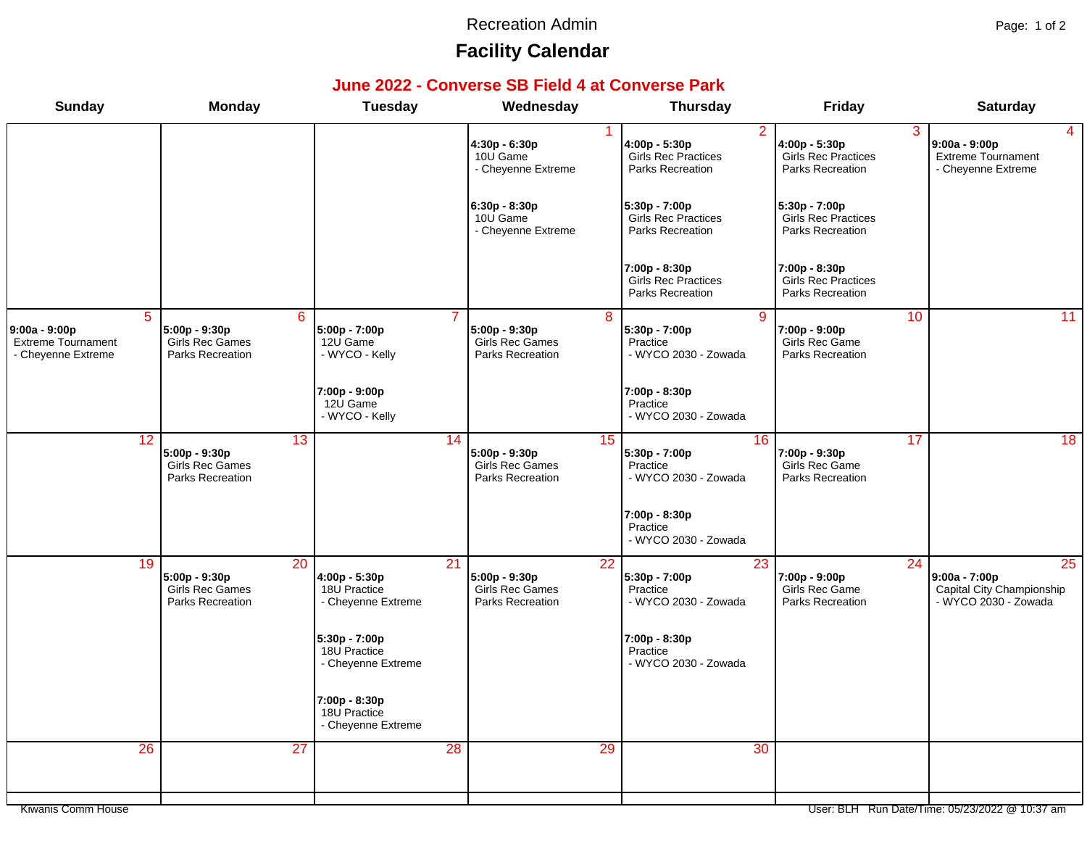#### Recreation Admin **Page: 1 of 2**

# **Facility Calendar**

#### **June 2022 - Converse SB Field 4 at Converse Park**

| <b>Sunday</b>                                                                        | <b>Monday</b>                                                             | <b>Tuesday</b>                                      | Wednesday                                                                 |                 | <b>Thursday</b>                                                                   | <b>Friday</b>                                                   | <b>Saturday</b>                                                                                          |
|--------------------------------------------------------------------------------------|---------------------------------------------------------------------------|-----------------------------------------------------|---------------------------------------------------------------------------|-----------------|-----------------------------------------------------------------------------------|-----------------------------------------------------------------|----------------------------------------------------------------------------------------------------------|
|                                                                                      |                                                                           |                                                     | $4:30p - 6:30p$<br>10U Game<br>- Cheyenne Extreme                         |                 | $\overline{2}$<br>4:00p - 5:30p<br><b>Girls Rec Practices</b><br>Parks Recreation | 4:00p - 5:30p<br><b>Girls Rec Practices</b><br>Parks Recreation | 3<br>4<br>$9:00a - 9:00p$<br>Extreme Tournament<br>- Cheyenne Extreme                                    |
|                                                                                      |                                                                           |                                                     | $6:30p - 8:30p$<br>10U Game<br>- Cheyenne Extreme                         |                 | 5:30p - 7:00p<br><b>Girls Rec Practices</b><br>Parks Recreation                   | 5:30p - 7:00p<br><b>Girls Rec Practices</b><br>Parks Recreation |                                                                                                          |
|                                                                                      |                                                                           |                                                     |                                                                           |                 | 7:00p - 8:30p<br><b>Girls Rec Practices</b><br>Parks Recreation                   | 7:00p - 8:30p<br>Girls Rec Practices<br>Parks Recreation        |                                                                                                          |
| $\overline{5}$<br>$9:00a - 9:00p$<br><b>Extreme Tournament</b><br>- Cheyenne Extreme | 6<br>5:00p - 9:30p<br><b>Girls Rec Games</b><br>Parks Recreation          | 5:00p - 7:00p<br>12U Game<br>- WYCO - Kelly         | 5:00p - 9:30p<br>Girls Rec Games<br>Parks Recreation                      | 8               | -9<br>5:30p - 7:00p<br>Practice<br>- WYCO 2030 - Zowada                           | 7:00p - 9:00p<br>Girls Rec Game<br>Parks Recreation             | 10<br>11                                                                                                 |
|                                                                                      |                                                                           | 7:00p - 9:00p<br>12U Game<br>- WYCO - Kelly         |                                                                           |                 | 7:00p - 8:30p<br>Practice<br>- WYCO 2030 - Zowada                                 |                                                                 |                                                                                                          |
| 12                                                                                   | $\overline{13}$<br>$5:00p - 9:30p$<br>Girls Rec Games<br>Parks Recreation |                                                     | $\overline{14}$<br>$5:00p - 9:30p$<br>Girls Rec Games<br>Parks Recreation | 15              | 16<br>5:30p - 7:00p<br>Practice<br>- WYCO 2030 - Zowada                           | 7:00p - 9:30p<br>Girls Rec Game<br>Parks Recreation             | $\overline{18}$<br>17                                                                                    |
|                                                                                      |                                                                           |                                                     |                                                                           |                 | 7:00p - 8:30p<br>Practice<br>- WYCO 2030 - Zowada                                 |                                                                 |                                                                                                          |
| 19                                                                                   | $\overline{20}$<br>5:00p - 9:30p<br>Girls Rec Games<br>Parks Recreation   | 4:00p - 5:30p<br>18U Practice<br>- Cheyenne Extreme | $\overline{21}$<br>5:00p - 9:30p<br>Girls Rec Games<br>Parks Recreation   | $\overline{22}$ | 23<br>5:30p - 7:00p<br>Practice<br>- WYCO 2030 - Zowada                           | 7:00p - 9:00p<br>Girls Rec Game<br>Parks Recreation             | $\overline{24}$<br>$\overline{25}$<br>9:00a - 7:00p<br>Capital City Championship<br>- WYCO 2030 - Zowada |
|                                                                                      |                                                                           | 5:30p - 7:00p<br>18U Practice<br>- Cheyenne Extreme |                                                                           |                 | 7:00p - 8:30p<br>Practice<br>- WYCO 2030 - Zowada                                 |                                                                 |                                                                                                          |
|                                                                                      |                                                                           | 7:00p - 8:30p<br>18U Practice<br>- Cheyenne Extreme |                                                                           |                 |                                                                                   |                                                                 |                                                                                                          |
| 26                                                                                   | $\overline{27}$                                                           |                                                     | 28                                                                        | 29              | 30                                                                                |                                                                 |                                                                                                          |
| Kiwanis Comm House                                                                   |                                                                           |                                                     |                                                                           |                 |                                                                                   |                                                                 | User: BLH Run Date/Time: 05/23/2022 @ 10:37 am                                                           |